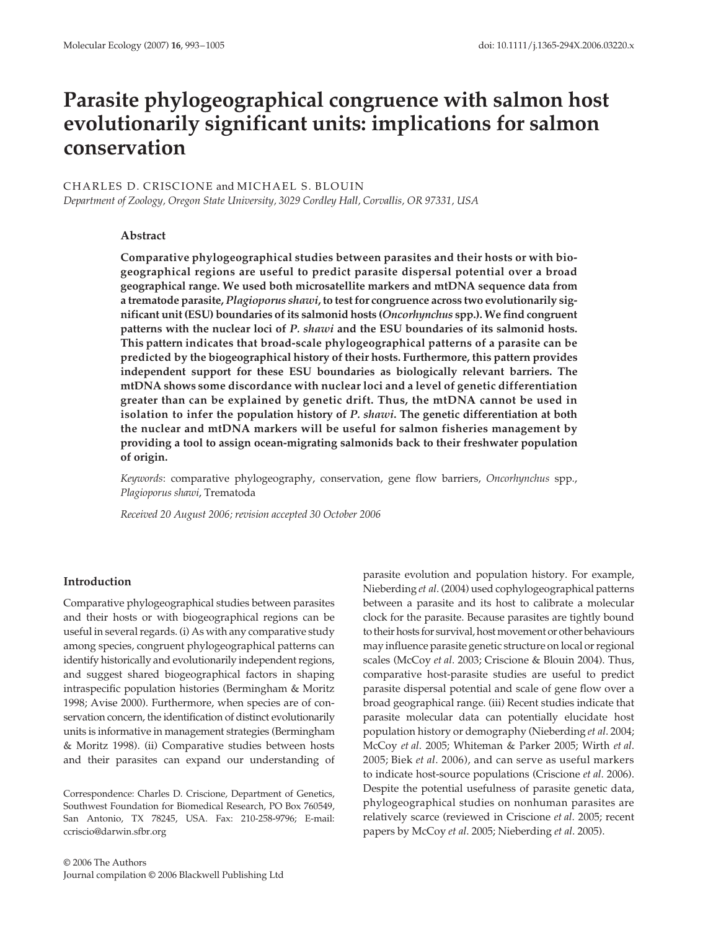# Parasite phylogeographical congruence with salmon host **evolutionarily significant units: implications for salmon conservation**

# CHARLES D. CRISCIONE and MICHAEL S. BLOUIN

*Department of Zoology, Oregon State University, 3029 Cordley Hall, Corvallis, OR 97331, USA* 

# **Abstract**

**Comparative phylogeographical studies between parasites and their hosts or with biogeographical regions are useful to predict parasite dispersal potential over a broad geographical range. We used both microsatellite markers and mtDNA sequence data from a trematode parasite,** *Plagioporus shawi***, to test for congruence across two evolutionarily significant unit (ESU) boundaries of its salmonid hosts (***Oncorhynchus* **spp.). We find congruent patterns with the nuclear loci of** *P. shawi* **and the ESU boundaries of its salmonid hosts. This pattern indicates that broad-scale phylogeographical patterns of a parasite can be predicted by the biogeographical history of their hosts. Furthermore, this pattern provides independent support for these ESU boundaries as biologically relevant barriers. The mtDNA shows some discordance with nuclear loci and a level of genetic differentiation greater than can be explained by genetic drift. Thus, the mtDNA cannot be used in isolation to infer the population history of** *P. shawi***. The genetic differentiation at both the nuclear and mtDNA markers will be useful for salmon fisheries management by providing a tool to assign ocean-migrating salmonids back to their freshwater population of origin.**

*Keywords*: comparative phylogeography, conservation, gene flow barriers, *Oncorhynchus* spp., *Plagioporus shawi*, Trematoda

*Received 20 August 2006; revision accepted 30 October 2006*

# **Introduction**

Comparative phylogeographical studies between parasites and their hosts or with biogeographical regions can be useful in several regards. (i) As with any comparative study among species, congruent phylogeographical patterns can identify historically and evolutionarily independent regions, and suggest shared biogeographical factors in shaping intraspecific population histories (Bermingham & Moritz 1998; Avise 2000). Furthermore, when species are of conservation concern, the identification of distinct evolutionarily units is informative in management strategies (Bermingham & Moritz 1998). (ii) Comparative studies between hosts and their parasites can expand our understanding of

Correspondence: Charles D. Criscione, Department of Genetics, Southwest Foundation for Biomedical Research, PO Box 760549, San Antonio, TX 78245, USA. Fax: 210-258-9796; E-mail: ccriscio@darwin.sfbr.org

© 2006 The Authors Journal compilation © 2006 Blackwell Publishing Ltd parasite evolution and population history. For example, Nieberding *et al*. (2004) used cophylogeographical patterns between a parasite and its host to calibrate a molecular clock for the parasite. Because parasites are tightly bound to their hosts for survival, host movement or other behaviours may influence parasite genetic structure on local or regional scales (McCoy *et al*. 2003; Criscione & Blouin 2004). Thus, comparative host-parasite studies are useful to predict parasite dispersal potential and scale of gene flow over a broad geographical range. (iii) Recent studies indicate that parasite molecular data can potentially elucidate host population history or demography (Nieberding *et al*. 2004; McCoy *et al*. 2005; Whiteman & Parker 2005; Wirth *et al*. 2005; Biek *et al*. 2006), and can serve as useful markers to indicate host-source populations (Criscione *et al*. 2006). Despite the potential usefulness of parasite genetic data, phylogeographical studies on nonhuman parasites are relatively scarce (reviewed in Criscione *et al*. 2005; recent papers by McCoy *et al*. 2005; Nieberding *et al*. 2005).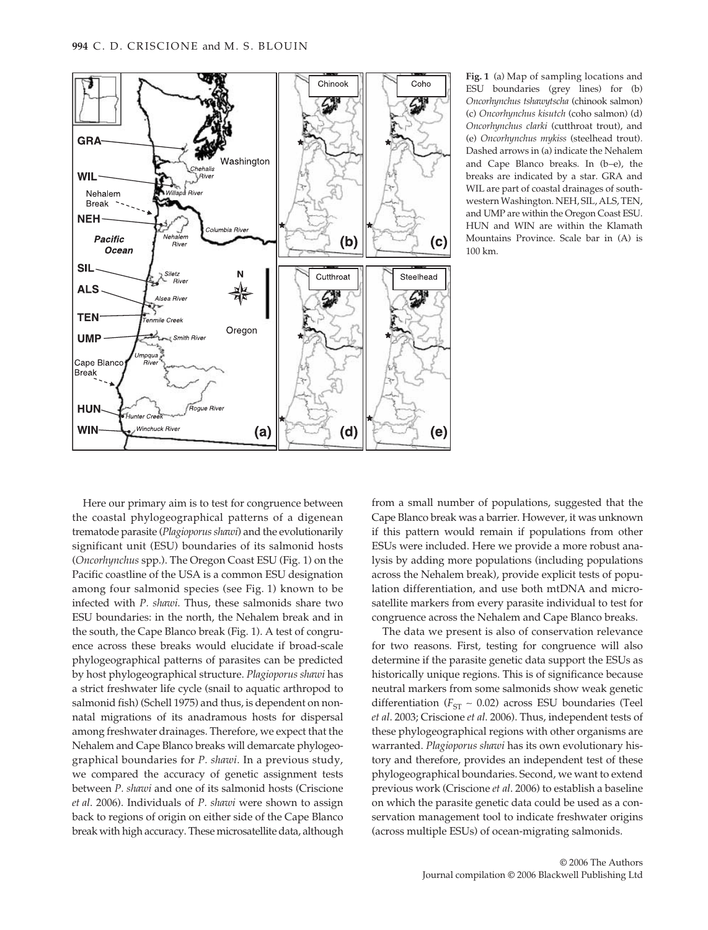

**Fig. 1** (a) Map of sampling locations and ESU boundaries (grey lines) for (b) *Oncorhynchus tshawytscha* (chinook salmon) (c) *Oncorhynchus kisutch* (coho salmon) (d) *Oncorhynchus clarki* (cutthroat trout), and (e) *Oncorhynchus mykiss* (steelhead trout). Dashed arrows in (a) indicate the Nehalem and Cape Blanco breaks. In (b–e), the breaks are indicated by a star. GRA and WIL are part of coastal drainages of southwestern Washington. NEH, SIL, ALS, TEN, and UMP are within the Oregon Coast ESU. HUN and WIN are within the Klamath Mountains Province. Scale bar in (A) is 100 km.

Here our primary aim is to test for congruence between the coastal phylogeographical patterns of a digenean trematode parasite (*Plagioporus shawi*) and the evolutionarily significant unit (ESU) boundaries of its salmonid hosts (*Oncorhynchus* spp.). The Oregon Coast ESU (Fig. 1) on the Pacific coastline of the USA is a common ESU designation among four salmonid species (see Fig. 1) known to be infected with *P. shawi*. Thus, these salmonids share two ESU boundaries: in the north, the Nehalem break and in the south, the Cape Blanco break (Fig. 1). A test of congruence across these breaks would elucidate if broad-scale phylogeographical patterns of parasites can be predicted by host phylogeographical structure. *Plagioporus shawi* has a strict freshwater life cycle (snail to aquatic arthropod to salmonid fish) (Schell 1975) and thus, is dependent on nonnatal migrations of its anadramous hosts for dispersal among freshwater drainages. Therefore, we expect that the Nehalem and Cape Blanco breaks will demarcate phylogeographical boundaries for *P. shawi*. In a previous study, we compared the accuracy of genetic assignment tests between *P. shawi* and one of its salmonid hosts (Criscione *et al*. 2006). Individuals of *P. shawi* were shown to assign back to regions of origin on either side of the Cape Blanco break with high accuracy. These microsatellite data, although

from a small number of populations, suggested that the Cape Blanco break was a barrier. However, it was unknown if this pattern would remain if populations from other ESUs were included. Here we provide a more robust analysis by adding more populations (including populations across the Nehalem break), provide explicit tests of population differentiation, and use both mtDNA and microsatellite markers from every parasite individual to test for congruence across the Nehalem and Cape Blanco breaks.

The data we present is also of conservation relevance for two reasons. First, testing for congruence will also determine if the parasite genetic data support the ESUs as historically unique regions. This is of significance because neutral markers from some salmonids show weak genetic differentiation ( $F_{ST} \sim 0.02$ ) across ESU boundaries (Teel *et al*. 2003; Criscione *et al*. 2006). Thus, independent tests of these phylogeographical regions with other organisms are warranted. *Plagioporus shawi* has its own evolutionary history and therefore, provides an independent test of these phylogeographical boundaries. Second, we want to extend previous work (Criscione *et al*. 2006) to establish a baseline on which the parasite genetic data could be used as a conservation management tool to indicate freshwater origins (across multiple ESUs) of ocean-migrating salmonids.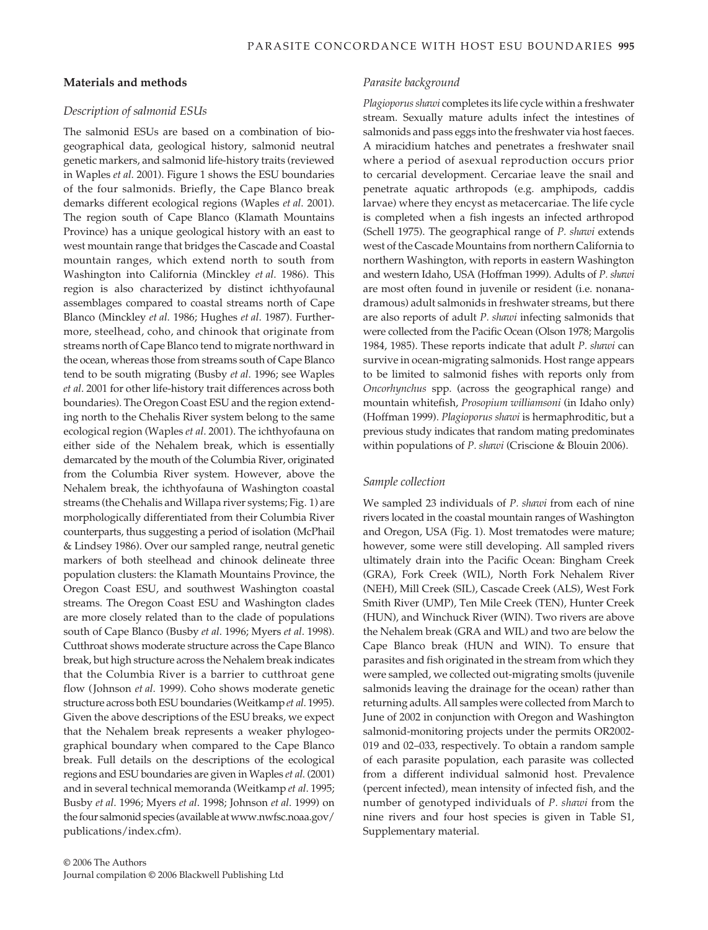# **Materials and methods**

#### *Description of salmonid ESUs*

The salmonid ESUs are based on a combination of biogeographical data, geological history, salmonid neutral genetic markers, and salmonid life-history traits (reviewed in Waples *et al*. 2001). Figure 1 shows the ESU boundaries of the four salmonids. Briefly, the Cape Blanco break demarks different ecological regions (Waples *et al*. 2001). The region south of Cape Blanco (Klamath Mountains Province) has a unique geological history with an east to west mountain range that bridges the Cascade and Coastal mountain ranges, which extend north to south from Washington into California (Minckley *et al*. 1986). This region is also characterized by distinct ichthyofaunal assemblages compared to coastal streams north of Cape Blanco (Minckley *et al*. 1986; Hughes *et al*. 1987). Furthermore, steelhead, coho, and chinook that originate from streams north of Cape Blanco tend to migrate northward in the ocean, whereas those from streams south of Cape Blanco tend to be south migrating (Busby *et al*. 1996; see Waples *et al*. 2001 for other life-history trait differences across both boundaries). The Oregon Coast ESU and the region extending north to the Chehalis River system belong to the same ecological region (Waples *et al*. 2001). The ichthyofauna on either side of the Nehalem break, which is essentially demarcated by the mouth of the Columbia River, originated from the Columbia River system. However, above the Nehalem break, the ichthyofauna of Washington coastal streams (the Chehalis and Willapa river systems; Fig. 1) are morphologically differentiated from their Columbia River counterparts, thus suggesting a period of isolation (McPhail & Lindsey 1986). Over our sampled range, neutral genetic markers of both steelhead and chinook delineate three population clusters: the Klamath Mountains Province, the Oregon Coast ESU, and southwest Washington coastal streams. The Oregon Coast ESU and Washington clades are more closely related than to the clade of populations south of Cape Blanco (Busby *et al*. 1996; Myers *et al*. 1998). Cutthroat shows moderate structure across the Cape Blanco break, but high structure across the Nehalem break indicates that the Columbia River is a barrier to cutthroat gene flow (Johnson *et al*. 1999). Coho shows moderate genetic structure across both ESU boundaries (Weitkamp *et al*. 1995). Given the above descriptions of the ESU breaks, we expect that the Nehalem break represents a weaker phylogeographical boundary when compared to the Cape Blanco break. Full details on the descriptions of the ecological regions and ESU boundaries are given in Waples *et al*. (2001) and in several technical memoranda (Weitkamp *et al*. 1995; Busby *et al*. 1996; Myers *et al*. 1998; Johnson *et al*. 1999) on the four salmonid species (available at www.nwfsc.noaa.gov/ publications/index.cfm).

#### *Parasite background*

*Plagioporus shawi* completes its life cycle within a freshwater stream. Sexually mature adults infect the intestines of salmonids and pass eggs into the freshwater via host faeces. A miracidium hatches and penetrates a freshwater snail where a period of asexual reproduction occurs prior to cercarial development. Cercariae leave the snail and penetrate aquatic arthropods (e.g. amphipods, caddis larvae) where they encyst as metacercariae. The life cycle is completed when a fish ingests an infected arthropod (Schell 1975). The geographical range of *P. shawi* extends west of the Cascade Mountains from northern California to northern Washington, with reports in eastern Washington and western Idaho, USA (Hoffman 1999). Adults of *P. shawi* are most often found in juvenile or resident (i.e. nonanadramous) adult salmonids in freshwater streams, but there are also reports of adult *P. shawi* infecting salmonids that were collected from the Pacific Ocean (Olson 1978; Margolis 1984, 1985). These reports indicate that adult *P. shawi* can survive in ocean-migrating salmonids. Host range appears to be limited to salmonid fishes with reports only from *Oncorhynchus* spp. (across the geographical range) and mountain whitefish, *Prosopium williamsoni* (in Idaho only) (Hoffman 1999). *Plagioporus shawi* is hermaphroditic, but a previous study indicates that random mating predominates within populations of *P. shawi* (Criscione & Blouin 2006).

#### *Sample collection*

We sampled 23 individuals of *P. shawi* from each of nine rivers located in the coastal mountain ranges of Washington and Oregon, USA (Fig. 1). Most trematodes were mature; however, some were still developing. All sampled rivers ultimately drain into the Pacific Ocean: Bingham Creek (GRA), Fork Creek (WIL), North Fork Nehalem River (NEH), Mill Creek (SIL), Cascade Creek (ALS), West Fork Smith River (UMP), Ten Mile Creek (TEN), Hunter Creek (HUN), and Winchuck River (WIN). Two rivers are above the Nehalem break (GRA and WIL) and two are below the Cape Blanco break (HUN and WIN). To ensure that parasites and fish originated in the stream from which they were sampled, we collected out-migrating smolts (juvenile salmonids leaving the drainage for the ocean) rather than returning adults. All samples were collected from March to June of 2002 in conjunction with Oregon and Washington salmonid-monitoring projects under the permits OR2002- 019 and 02–033, respectively. To obtain a random sample of each parasite population, each parasite was collected from a different individual salmonid host. Prevalence (percent infected), mean intensity of infected fish, and the number of genotyped individuals of *P. shawi* from the nine rivers and four host species is given in Table S1, Supplementary material.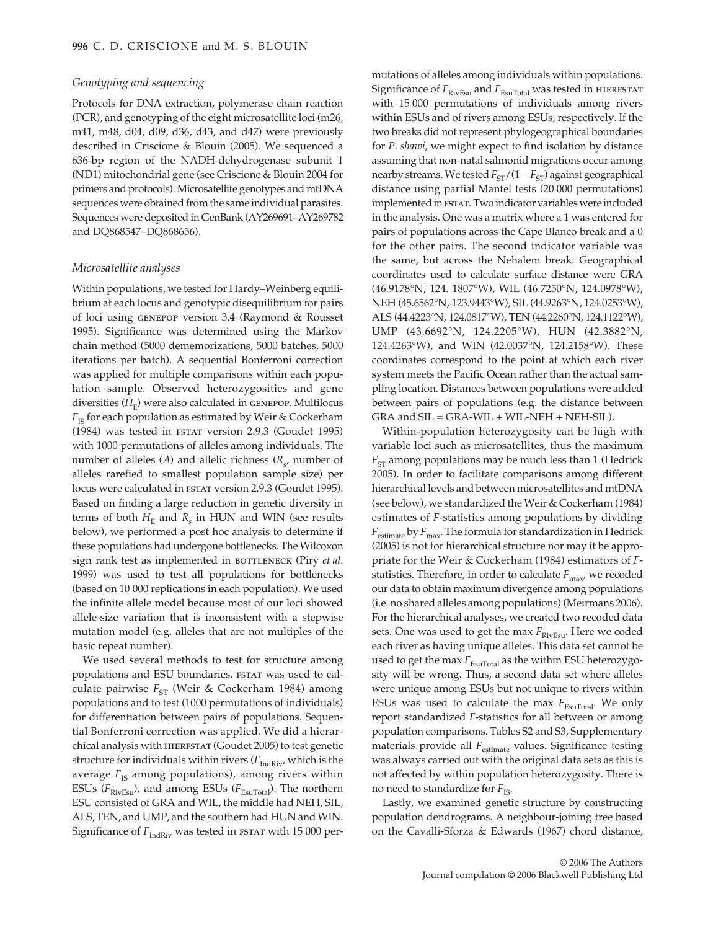## *Genotyping and sequencing*

Protocols for DNA extraction, polymerase chain reaction (PCR), and genotyping of the eight microsatellite loci (m26, m41, m48, d04, d09, d36, d43, and d47) were previously described in Criscione & Blouin (2005). We sequenced a 636-bp region of the NADH-dehydrogenase subunit 1 (ND1) mitochondrial gene (see Criscione & Blouin 2004 for primers and protocols). Microsatellite genotypes and mtDNA sequences were obtained from the same individual parasites. Sequences were deposited in GenBank (AY269691–AY269782 and DQ868547–DQ868656).

#### *Microsatellite analyses*

Within populations, we tested for Hardy–Weinberg equilibrium at each locus and genotypic disequilibrium for pairs of loci using genepop version 3.4 (Raymond & Rousset 1995). Significance was determined using the Markov chain method (5000 dememorizations, 5000 batches, 5000 iterations per batch). A sequential Bonferroni correction was applied for multiple comparisons within each population sample. Observed heterozygosities and gene diversities  $(H_F)$  were also calculated in GENEPOP. Multilocus  $F_{\text{IS}}$  for each population as estimated by Weir & Cockerham (1984) was tested in fstat version 2.9.3 (Goudet 1995) with 1000 permutations of alleles among individuals. The number of alleles (*A*) and allelic richness (*R*<sub>s</sub>, number of alleles rarefied to smallest population sample size) per locus were calculated in FSTAT version 2.9.3 (Goudet 1995). Based on finding a large reduction in genetic diversity in terms of both  $H<sub>E</sub>$  and  $R<sub>s</sub>$  in HUN and WIN (see results below), we performed a post hoc analysis to determine if these populations had undergone bottlenecks. The Wilcoxon sign rank test as implemented in BOTTLENECK (Piry *et al.*) 1999) was used to test all populations for bottlenecks (based on 10 000 replications in each population). We used the infinite allele model because most of our loci showed allele-size variation that is inconsistent with a stepwise mutation model (e.g. alleles that are not multiples of the basic repeat number).

We used several methods to test for structure among populations and ESU boundaries. FSTAT was used to calculate pairwise  $F_{ST}$  (Weir & Cockerham 1984) among populations and to test (1000 permutations of individuals) for differentiation between pairs of populations. Sequential Bonferroni correction was applied. We did a hierarchical analysis with HIERFSTAT (Goudet 2005) to test genetic structure for individuals within rivers  $(F_{IndRiv},$  which is the average  $F_{\text{IS}}$  among populations), among rivers within ESUs  $(F_{\text{RivEsu}})$ , and among ESUs  $(F_{\text{EsuTotal}})$ . The northern ESU consisted of GRA and WIL, the middle had NEH, SIL, ALS, TEN, and UMP, and the southern had HUN and WIN. Significance of  $F_{\text{IndRiv}}$  was tested in  $\epsilon$ FTAT with 15 000 per-

mutations of alleles among individuals within populations. Significance of  $F_{\text{RivEsu}}$  and  $F_{\text{EsuTotal}}$  was tested in HIERFSTAT with 15 000 permutations of individuals among rivers within ESUs and of rivers among ESUs, respectively. If the two breaks did not represent phylogeographical boundaries for *P. shawi*, we might expect to find isolation by distance assuming that non-natal salmonid migrations occur among nearby streams. We tested  $F_{ST}/(1 - F_{ST})$  against geographical distance using partial Mantel tests (20 000 permutations) implemented in FSTAT. Two indicator variables were included in the analysis. One was a matrix where a 1 was entered for pairs of populations across the Cape Blanco break and a 0 for the other pairs. The second indicator variable was the same, but across the Nehalem break. Geographical coordinates used to calculate surface distance were GRA (46.9178°N, 124. 1807°W), WIL (46.7250°N, 124.0978°W), NEH (45.6562°N, 123.9443°W), SIL (44.9263°N, 124.0253°W), ALS (44.4223°N, 124.0817°W), TEN (44.2260°N, 124.1122°W), UMP (43.6692°N, 124.2205°W), HUN (42.3882°N, 124.4263°W), and WIN (42.0037°N, 124.2158°W). These coordinates correspond to the point at which each river system meets the Pacific Ocean rather than the actual sampling location. Distances between populations were added between pairs of populations (e.g. the distance between GRA and SIL = GRA-WIL + WIL-NEH + NEH-SIL).

Within-population heterozygosity can be high with variable loci such as microsatellites, thus the maximum  $F_{ST}$  among populations may be much less than 1 (Hedrick 2005). In order to facilitate comparisons among different hierarchical levels and between microsatellites and mtDNA (see below), we standardized the Weir & Cockerham (1984) estimates of *F*-statistics among populations by dividing  $F_{\text{estimate}}$  by  $F_{\text{max}}$ . The formula for standardization in Hedrick (2005) is not for hierarchical structure nor may it be appropriate for the Weir & Cockerham (1984) estimators of *F*statistics. Therefore, in order to calculate  $F_{\text{max}}$ , we recoded our data to obtain maximum divergence among populations (i.e. no shared alleles among populations) (Meirmans 2006). For the hierarchical analyses, we created two recoded data sets. One was used to get the max  $F_{\text{RivEsu}}$ . Here we coded each river as having unique alleles. This data set cannot be used to get the max  $F_{\text{EsuTotal}}$  as the within ESU heterozygosity will be wrong. Thus, a second data set where alleles were unique among ESUs but not unique to rivers within ESUs was used to calculate the max  $F_{\text{EsuTotal}}$ . We only report standardized *F*-statistics for all between or among population comparisons. Tables S2 and S3, Supplementary materials provide all *F*<sub>estimate</sub> values. Significance testing was always carried out with the original data sets as this is not affected by within population heterozygosity. There is no need to standardize for  $F_{\text{IS}}$ .

Lastly, we examined genetic structure by constructing population dendrograms. A neighbour-joining tree based on the Cavalli-Sforza & Edwards (1967) chord distance,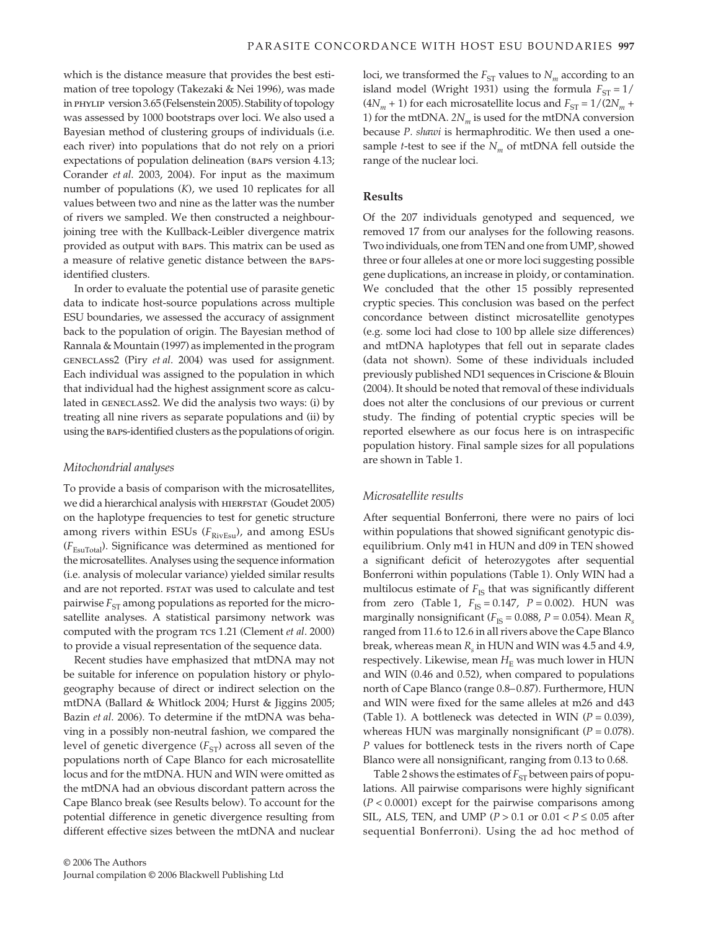which is the distance measure that provides the best estimation of tree topology (Takezaki & Nei 1996), was made in phylip version 3.65 (Felsenstein 2005). Stability of topology was assessed by 1000 bootstraps over loci. We also used a Bayesian method of clustering groups of individuals (i.e. each river) into populations that do not rely on a priori expectations of population delineation (BAPS version 4.13; Corander *et al*. 2003, 2004). For input as the maximum number of populations (*K*), we used 10 replicates for all values between two and nine as the latter was the number of rivers we sampled. We then constructed a neighbourjoining tree with the Kullback-Leibler divergence matrix provided as output with baps. This matrix can be used as a measure of relative genetic distance between the bapsidentified clusters.

In order to evaluate the potential use of parasite genetic data to indicate host-source populations across multiple ESU boundaries, we assessed the accuracy of assignment back to the population of origin. The Bayesian method of Rannala & Mountain (1997) as implemented in the program geneclass2 (Piry *et al*. 2004) was used for assignment. Each individual was assigned to the population in which that individual had the highest assignment score as calculated in geneclass2. We did the analysis two ways: (i) by treating all nine rivers as separate populations and (ii) by using the baps-identified clusters as the populations of origin.

#### *Mitochondrial analyses*

To provide a basis of comparison with the microsatellites, we did a hierarchical analysis with HIERFSTAT (Goudet 2005) on the haplotype frequencies to test for genetic structure among rivers within ESUs ( $F_{\text{RivEsu}}$ ), and among ESUs (*F*EsuTotal). Significance was determined as mentioned for the microsatellites. Analyses using the sequence information (i.e. analysis of molecular variance) yielded similar results and are not reported. FSTAT was used to calculate and test pairwise  $F_{ST}$  among populations as reported for the microsatellite analyses. A statistical parsimony network was computed with the program tcs 1.21 (Clement *et al*. 2000) to provide a visual representation of the sequence data.

Recent studies have emphasized that mtDNA may not be suitable for inference on population history or phylogeography because of direct or indirect selection on the mtDNA (Ballard & Whitlock 2004; Hurst & Jiggins 2005; Bazin *et al*. 2006). To determine if the mtDNA was behaving in a possibly non-neutral fashion, we compared the level of genetic divergence  $(F_{ST})$  across all seven of the populations north of Cape Blanco for each microsatellite locus and for the mtDNA. HUN and WIN were omitted as the mtDNA had an obvious discordant pattern across the Cape Blanco break (see Results below). To account for the potential difference in genetic divergence resulting from different effective sizes between the mtDNA and nuclear loci, we transformed the  $F_{ST}$  values to  $N_m$  according to an island model (Wright 1931) using the formula  $F_{ST} = 1/$  $(4N<sub>m</sub> + 1)$  for each microsatellite locus and  $F<sub>ST</sub> = 1/(2N<sub>m</sub> + 1)$ 1) for the mtDNA.  $2N_m$  is used for the mtDNA conversion because *P. shawi* is hermaphroditic. We then used a onesample *t*-test to see if the  $N_m$  of mtDNA fell outside the range of the nuclear loci.

# **Results**

Of the 207 individuals genotyped and sequenced, we removed 17 from our analyses for the following reasons. Two individuals, one from TEN and one from UMP, showed three or four alleles at one or more loci suggesting possible gene duplications, an increase in ploidy, or contamination. We concluded that the other 15 possibly represented cryptic species. This conclusion was based on the perfect concordance between distinct microsatellite genotypes (e.g. some loci had close to 100 bp allele size differences) and mtDNA haplotypes that fell out in separate clades (data not shown). Some of these individuals included previously published ND1 sequences in Criscione & Blouin (2004). It should be noted that removal of these individuals does not alter the conclusions of our previous or current study. The finding of potential cryptic species will be reported elsewhere as our focus here is on intraspecific population history. Final sample sizes for all populations are shown in Table 1.

### *Microsatellite results*

After sequential Bonferroni, there were no pairs of loci within populations that showed significant genotypic disequilibrium. Only m41 in HUN and d09 in TEN showed a significant deficit of heterozygotes after sequential Bonferroni within populations (Table 1). Only WIN had a multilocus estimate of  $F_{\text{IS}}$  that was significantly different from zero (Table 1,  $F_{\text{IS}} = 0.147$ ,  $P = 0.002$ ). HUN was marginally nonsignificant ( $F_{IS}$  = 0.088, *P* = 0.054). Mean  $R_s$ ranged from 11.6 to 12.6 in all rivers above the Cape Blanco break, whereas mean  $R_s$  in HUN and WIN was 4.5 and 4.9, respectively. Likewise, mean  $H<sub>E</sub>$  was much lower in HUN and WIN (0.46 and 0.52), when compared to populations north of Cape Blanco (range 0.8–0.87). Furthermore, HUN and WIN were fixed for the same alleles at m26 and d43 (Table 1). A bottleneck was detected in WIN (*P =* 0.039), whereas HUN was marginally nonsignificant (*P =* 0.078). *P* values for bottleneck tests in the rivers north of Cape Blanco were all nonsignificant, ranging from 0.13 to 0.68.

Table 2 shows the estimates of  $F_{ST}$  between pairs of populations. All pairwise comparisons were highly significant (*P <* 0.0001) except for the pairwise comparisons among SIL, ALS, TEN, and UMP ( $P > 0.1$  or  $0.01 < P \le 0.05$  after sequential Bonferroni). Using the ad hoc method of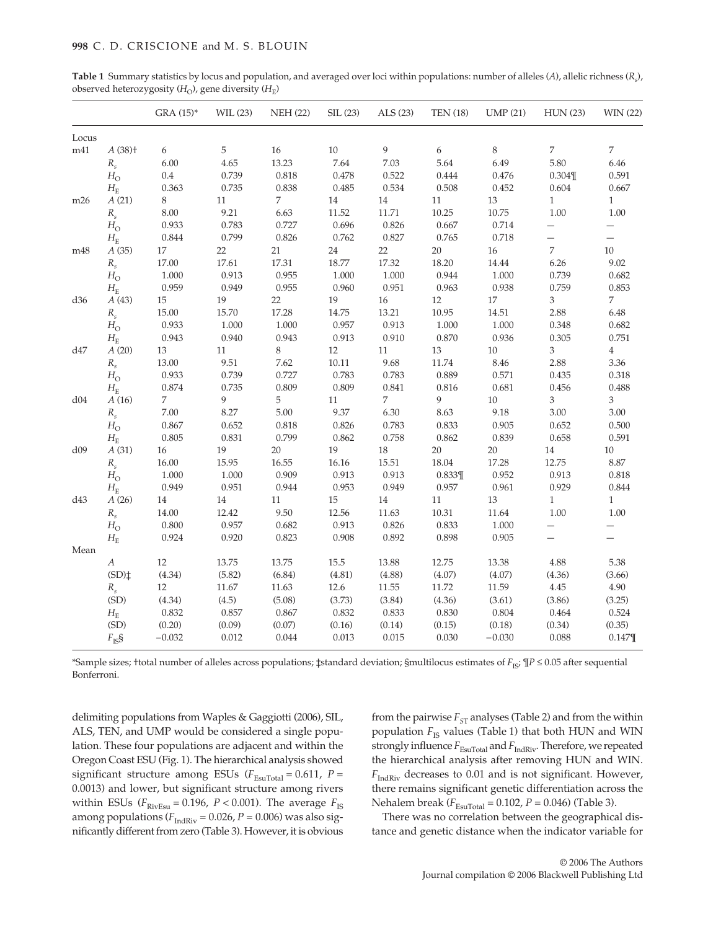**Table 1** Summary statistics by locus and population, and averaged over loci within populations: number of alleles (*A*), allelic richness (*Rs* ), observed heterozygosity  $(H<sub>O</sub>)$ , gene diversity  $(H<sub>E</sub>)$ 

|       |                      | $GRA (15)*$  | WIL (23)  | <b>NEH (22)</b> | SIL (23)  | ALS (23)       | $\text{TEN}\left(18\right)$ | UMP(21)  | <b>HUN (23)</b>          | WIN (22)                 |
|-------|----------------------|--------------|-----------|-----------------|-----------|----------------|-----------------------------|----------|--------------------------|--------------------------|
| Locus |                      |              |           |                 |           |                |                             |          |                          |                          |
| m41   | $A(38)$ <sup>+</sup> | 6            | 5         | 16              | $10\,$    | 9              | $\boldsymbol{6}$            | $\,8\,$  | $\overline{7}$           | $\overline{7}$           |
|       | $R_s$                | 6.00         | 4.65      | 13.23           | 7.64      | 7.03           | 5.64                        | 6.49     | 5.80                     | 6.46                     |
|       | $H_{\rm O}$          | $0.4\,$      | 0.739     | 0.818           | 0.478     | 0.522          | 0.444                       | 0.476    | $0.304$ T                | 0.591                    |
|       | $H_{\rm E}$          | 0.363        | 0.735     | 0.838           | 0.485     | 0.534          | 0.508                       | 0.452    | 0.604                    | 0.667                    |
| m26   | A(21)                | $8\,$        | 11        | $\overline{7}$  | 14        | 14             | 11                          | 13       | $\mathbf{1}$             | $\mathbf{1}$             |
|       | $R_s$                | 8.00         | 9.21      | 6.63            | 11.52     | 11.71          | 10.25                       | 10.75    | 1.00                     | 1.00                     |
|       | $H_{\rm O}$          | 0.933        | 0.783     | 0.727           | 0.696     | 0.826          | 0.667                       | 0.714    |                          |                          |
|       | $H_{\rm E}$          | 0.844        | 0.799     | 0.826           | 0.762     | 0.827          | 0.765                       | 0.718    | $\equiv$                 | $\overline{\phantom{0}}$ |
| m48   | A(35)                | $17\,$       | 22        | 21              | 24        | 22             | 20                          | $16\,$   | $\overline{7}$           | $10\,$                   |
|       | $R_{\rm s}$          | 17.00        | 17.61     | 17.31           | 18.77     | 17.32          | 18.20                       | 14.44    | 6.26                     | 9.02                     |
|       | $H_{\rm O}$          | 1.000        | 0.913     | 0.955           | $1.000\,$ | 1.000          | 0.944                       | 1.000    | 0.739                    | 0.682                    |
|       | $H_{\rm E}$          | 0.959        | 0.949     | 0.955           | 0.960     | 0.951          | 0.963                       | 0.938    | 0.759                    | 0.853                    |
| d36   | A(43)                | 15           | 19        | $22\,$          | 19        | 16             | 12                          | 17       | 3                        | 7                        |
|       | $R_{s}$              | 15.00        | 15.70     | 17.28           | 14.75     | 13.21          | 10.95                       | 14.51    | 2.88                     | 6.48                     |
|       | $H_{\rm O}$          | 0.933        | 1.000     | 1.000           | 0.957     | 0.913          | 1.000                       | 1.000    | 0.348                    | 0.682                    |
|       | $H_{\rm E}$          | 0.943        | 0.940     | 0.943           | 0.913     | 0.910          | 0.870                       | 0.936    | 0.305                    | 0.751                    |
| d47   | A(20)                | 13           | $11\,$    | $8\,$           | 12        | $11\,$         | $13\,$                      | $10\,$   | $\mathfrak{Z}$           | $\overline{4}$           |
|       | $R_{s}$              | 13.00        | 9.51      | 7.62            | 10.11     | 9.68           | 11.74                       | 8.46     | 2.88                     | 3.36                     |
|       | $H_{\rm O}$          | 0.933        | 0.739     | 0.727           | 0.783     | 0.783          | 0.889                       | 0.571    | 0.435                    | 0.318                    |
|       | $H_{\rm E}$          | 0.874        | 0.735     | 0.809           | 0.809     | 0.841          | 0.816                       | 0.681    | 0.456                    | 0.488                    |
| d04   | $A\left(16\right)$   | $\mathbf{7}$ | 9         | 5               | 11        | $\overline{7}$ | 9                           | 10       | 3                        | $\mathfrak{Z}$           |
|       | $R_s$                | 7.00         | 8.27      | 5.00            | 9.37      | 6.30           | 8.63                        | 9.18     | 3.00                     | 3.00                     |
|       | $H_{\rm O}$          | 0.867        | 0.652     | 0.818           | 0.826     | 0.783          | 0.833                       | 0.905    | 0.652                    | 0.500                    |
|       | $H_{\rm E}$          | 0.805        | 0.831     | 0.799           | 0.862     | 0.758          | 0.862                       | 0.839    | 0.658                    | 0.591                    |
| d09   | A(31)                | 16           | 19        | 20              | 19        | 18             | $20\,$                      | 20       | 14                       | 10                       |
|       | $R_{s}$              | 16.00        | 15.95     | 16.55           | 16.16     | 15.51          | 18.04                       | 17.28    | 12.75                    | 8.87                     |
|       | $H_{\rm O}$          | 1.000        | $1.000\,$ | 0.909           | 0.913     | 0.913          | $0.833$ ¶                   | 0.952    | 0.913                    | 0.818                    |
|       | $H_{\rm E}$          | 0.949        | 0.951     | 0.944           | 0.953     | 0.949          | 0.957                       | 0.961    | 0.929                    | 0.844                    |
| d43   | $A\left( 26\right)$  | 14           | 14        | 11              | 15        | 14             | 11                          | 13       | $\mathbf{1}$             | $\mathbf{1}$             |
|       | $R_{s}$              | 14.00        | 12.42     | 9.50            | 12.56     | 11.63          | 10.31                       | 11.64    | 1.00                     | 1.00                     |
|       | $H_{\rm O}$          | 0.800        | 0.957     | 0.682           | 0.913     | 0.826          | 0.833                       | 1.000    | $\overline{\phantom{0}}$ | $\overline{\phantom{0}}$ |
|       | $H_{\rm E}$          | 0.924        | 0.920     | 0.823           | 0.908     | 0.892          | 0.898                       | 0.905    | $\equiv$                 | L,                       |
| Mean  |                      |              |           |                 |           |                |                             |          |                          |                          |
|       | A                    | 12           | 13.75     | 13.75           | 15.5      | 13.88          | 12.75                       | 13.38    | 4.88                     | 5.38                     |
|       | (SD)                 | (4.34)       | (5.82)    | (6.84)          | (4.81)    | (4.88)         | (4.07)                      | (4.07)   | (4.36)                   | (3.66)                   |
|       |                      | 12           |           | 11.63           | 12.6      | 11.55          | 11.72                       | 11.59    | 4.45                     | 4.90                     |
|       | $R_s$                |              | 11.67     |                 |           |                |                             |          |                          |                          |
|       | (SD)                 | (4.34)       | (4.5)     | (5.08)          | (3.73)    | (3.84)         | (4.36)                      | (3.61)   | (3.86)                   | (3.25)                   |
|       | $H_{\rm E}$          | 0.832        | 0.857     | 0.867           | 0.832     | 0.833          | 0.830                       | 0.804    | 0.464                    | 0.524                    |
|       | (SD)                 | (0.20)       | (0.09)    | (0.07)          | (0.16)    | (0.14)         | (0.15)                      | (0.18)   | (0.34)                   | (0.35)                   |
|       | $F_{\text{IS}}\$$    | $-0.032$     | 0.012     | 0.044           | 0.013     | 0.015          | 0.030                       | $-0.030$ | 0.088                    | $0.147$ $\P$             |

\*Sample sizes; †total number of alleles across populations; ‡standard deviation; §multilocus estimates of *F*IS; ¶*P* ≤ 0.05 after sequential Bonferroni.

delimiting populations from Waples & Gaggiotti (2006), SIL, ALS, TEN, and UMP would be considered a single population. These four populations are adjacent and within the Oregon Coast ESU (Fig. 1). The hierarchical analysis showed significant structure among ESUs ( $F_{\text{EsuTotal}} = 0.611$ ,  $P =$ 0.0013) and lower, but significant structure among rivers within ESUs ( $F_{\text{RivEsu}}$  = 0.196, *P* < 0.001). The average  $F_{\text{IS}}$ among populations ( $F_{\text{IndRiv}} = 0.026$ ,  $P = 0.006$ ) was also significantly different from zero (Table 3). However, it is obvious

from the pairwise  $F_{ST}$  analyses (Table 2) and from the within population  $F_{\text{IS}}$  values (Table 1) that both HUN and WIN strongly influence  $F_{\mathrm{EuTotal}}$  and  $F_{\mathrm{IndRiv}}.$  Therefore, we repeated the hierarchical analysis after removing HUN and WIN. *F*IndRiv decreases to 0.01 and is not significant. However, there remains significant genetic differentiation across the Nehalem break ( $F_{\text{EsuTotal}} = 0.102$ ,  $P = 0.046$ ) (Table 3).

There was no correlation between the geographical distance and genetic distance when the indicator variable for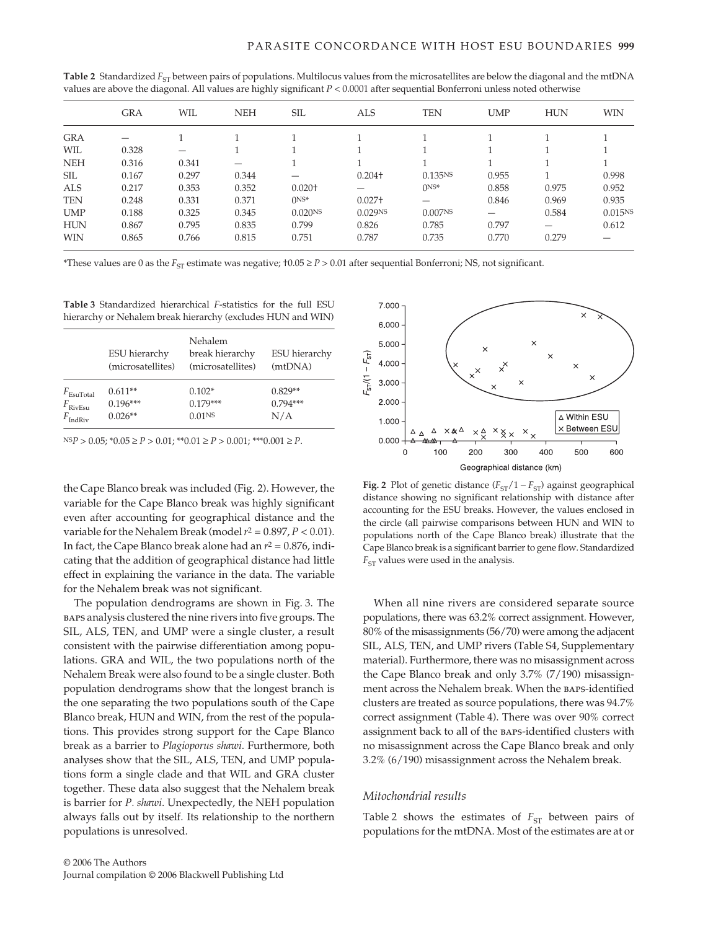|            | <b>GRA</b> | <b>WIL</b> | <b>NEH</b> | <b>SIL</b>          | <b>ALS</b>          | <b>TEN</b>          | <b>UMP</b>               | <b>HUN</b>               | <b>WIN</b>          |
|------------|------------|------------|------------|---------------------|---------------------|---------------------|--------------------------|--------------------------|---------------------|
| <b>GRA</b> |            |            |            |                     |                     |                     |                          |                          |                     |
| WIL        | 0.328      |            |            |                     |                     |                     |                          |                          |                     |
| <b>NEH</b> | 0.316      | 0.341      |            |                     |                     |                     |                          |                          |                     |
| <b>SIL</b> | 0.167      | 0.297      | 0.344      |                     | $0.204 +$           | 0.135 <sub>NS</sub> | 0.955                    |                          | 0.998               |
| <b>ALS</b> | 0.217      | 0.353      | 0.352      | $0.020 +$           |                     | $($ NS <sup>*</sup> | 0.858                    | 0.975                    | 0.952               |
| <b>TEN</b> | 0.248      | 0.331      | 0.371      | $($ <sup>+</sup>    | $0.027+$            | —                   | 0.846                    | 0.969                    | 0.935               |
| <b>UMP</b> | 0.188      | 0.325      | 0.345      | 0.020N <sub>S</sub> | 0.029 <sub>NS</sub> | 0.007 <sub>NS</sub> | $\overline{\phantom{m}}$ | 0.584                    | 0.015 <sub>NS</sub> |
| <b>HUN</b> | 0.867      | 0.795      | 0.835      | 0.799               | 0.826               | 0.785               | 0.797                    | $\overline{\phantom{0}}$ | 0.612               |
| <b>WIN</b> | 0.865      | 0.766      | 0.815      | 0.751               | 0.787               | 0.735               | 0.770                    | 0.279                    |                     |

Table 2 Standardized *F<sub>ST</sub>* between pairs of populations. Multilocus values from the microsatellites are below the diagonal and the mtDNA values are above the diagonal. All values are highly significant *P* < 0.0001 after sequential Bonferroni unless noted otherwise

\*These values are 0 as the  $F_{\text{cr}}$  estimate was negative;  $\pm 0.05 \ge P > 0.01$  after sequential Bonferroni; NS, not significant.

**Table 3** Standardized hierarchical *F*-statistics for the full ESU hierarchy or Nehalem break hierarchy (excludes HUN and WIN)

|                       | ESU hierarchy<br>(microsatellites) | Nehalem<br>break hierarchy<br>(microsatellites) | ESU hierarchy<br>(mtDNA) |
|-----------------------|------------------------------------|-------------------------------------------------|--------------------------|
| $F_{\text{EsuTotal}}$ | $0.611**$                          | $0.102*$                                        | $0.829**$                |
| $F_{\text{RivEsu}}$   | $0.196***$                         | $0.179***$                                      | $0.794***$               |
| $F_{\text{IndRiv}}$   | $0.026**$                          | 0.01 <sub>NS</sub>                              | N/A                      |

NS*P* > 0.05; \*0.05 ≥ *P* > 0.01; \*\*0.01 ≥ *P* > 0.001; \*\*\*0.001 ≥ *P*.

the Cape Blanco break was included (Fig. 2). However, the variable for the Cape Blanco break was highly significant even after accounting for geographical distance and the variable for the Nehalem Break (model  $r^2 = 0.897$ ,  $P < 0.01$ ). In fact, the Cape Blanco break alone had an *r*2 = 0.876, indicating that the addition of geographical distance had little effect in explaining the variance in the data. The variable for the Nehalem break was not significant.

The population dendrograms are shown in Fig. 3. The baps analysis clustered the nine rivers into five groups. The SIL, ALS, TEN, and UMP were a single cluster, a result consistent with the pairwise differentiation among populations. GRA and WIL, the two populations north of the Nehalem Break were also found to be a single cluster. Both population dendrograms show that the longest branch is the one separating the two populations south of the Cape Blanco break, HUN and WIN, from the rest of the populations. This provides strong support for the Cape Blanco break as a barrier to *Plagioporus shawi*. Furthermore, both analyses show that the SIL, ALS, TEN, and UMP populations form a single clade and that WIL and GRA cluster together. These data also suggest that the Nehalem break is barrier for *P. shawi*. Unexpectedly, the NEH population always falls out by itself. Its relationship to the northern populations is unresolved.



**Fig. 2** Plot of genetic distance  $(F_{ST}/1 - F_{ST})$  against geographical distance showing no significant relationship with distance after accounting for the ESU breaks. However, the values enclosed in the circle (all pairwise comparisons between HUN and WIN to populations north of the Cape Blanco break) illustrate that the Cape Blanco break is a significant barrier to gene flow. Standardized  $F_{ST}$  values were used in the analysis.

When all nine rivers are considered separate source populations, there was 63.2% correct assignment. However, 80% of the misassignments (56/70) were among the adjacent SIL, ALS, TEN, and UMP rivers (Table S4, Supplementary material). Furthermore, there was no misassignment across the Cape Blanco break and only 3.7% (7/190) misassignment across the Nehalem break. When the baps-identified clusters are treated as source populations, there was 94.7% correct assignment (Table 4). There was over 90% correct assignment back to all of the baps-identified clusters with no misassignment across the Cape Blanco break and only 3.2% (6/190) misassignment across the Nehalem break.

#### *Mitochondrial results*

Table 2 shows the estimates of  $F_{ST}$  between pairs of populations for the mtDNA. Most of the estimates are at or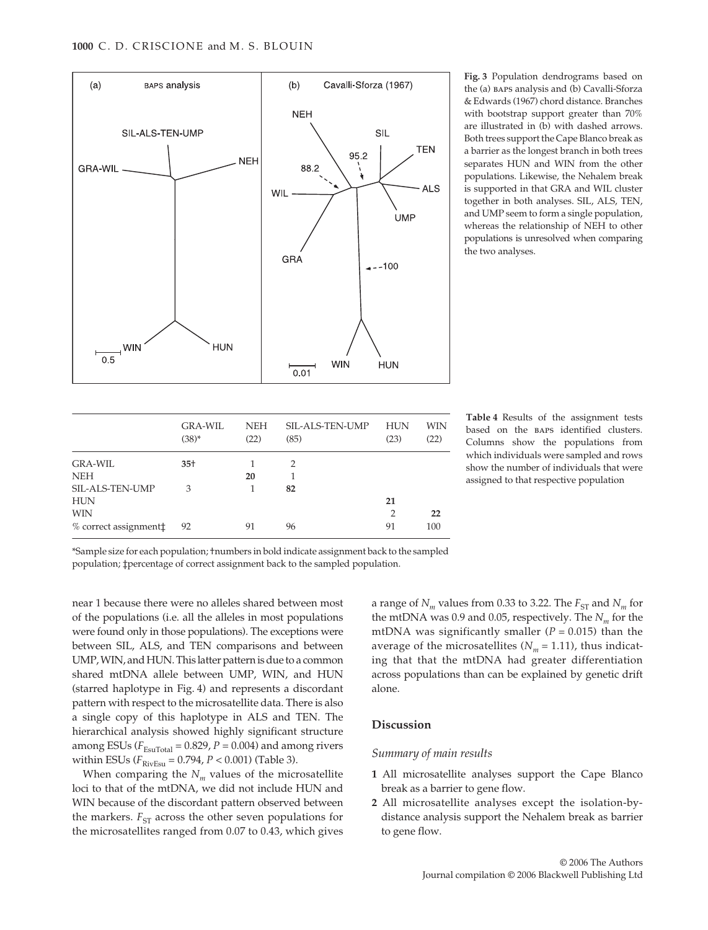

**Fig. 3** Population dendrograms based on the (a) варя analysis and (b) Cavalli-Sforza & Edwards (1967) chord distance. Branches with bootstrap support greater than 70% are illustrated in (b) with dashed arrows. Both trees support the Cape Blanco break as a barrier as the longest branch in both trees separates HUN and WIN from the other populations. Likewise, the Nehalem break is supported in that GRA and WIL cluster together in both analyses. SIL, ALS, TEN, and UMP seem to form a single population, whereas the relationship of NEH to other populations is unresolved when comparing the two analyses.

|                                                   | GRA-WIL<br>$(38)^{*}$ | <b>NEH</b><br>(22) | SIL-ALS-TEN-UMP<br>(85) | <b>HUN</b><br>(23)         | WIN<br>(22) |
|---------------------------------------------------|-----------------------|--------------------|-------------------------|----------------------------|-------------|
| <b>GRA-WIL</b><br><b>NEH</b><br>SIL-ALS-TEN-UMP   | $35+$<br>3            | 20                 | 2<br>82                 |                            |             |
| <b>HUN</b><br><b>WIN</b><br>% correct assignment‡ | 92                    | 91                 | 96                      | 21<br>$\overline{2}$<br>91 | 22<br>100   |

**Table 4** Results of the assignment tests based on the BAPS identified clusters. Columns show the populations from which individuals were sampled and rows show the number of individuals that were assigned to that respective population

\*Sample size for each population; †numbers in bold indicate assignment back to the sampled population; ‡percentage of correct assignment back to the sampled population.

near 1 because there were no alleles shared between most of the populations (i.e. all the alleles in most populations were found only in those populations). The exceptions were between SIL, ALS, and TEN comparisons and between UMP, WIN, and HUN. This latter pattern is due to a common shared mtDNA allele between UMP, WIN, and HUN (starred haplotype in Fig. 4) and represents a discordant pattern with respect to the microsatellite data. There is also a single copy of this haplotype in ALS and TEN. The hierarchical analysis showed highly significant structure among ESUs  $(F_{\text{FsuTotal}} = 0.829, P = 0.004)$  and among rivers within ESUs ( $F_{\text{RivEsu}} = 0.794$ ,  $P < 0.001$ ) (Table 3).

When comparing the  $N_m$  values of the microsatellite loci to that of the mtDNA, we did not include HUN and WIN because of the discordant pattern observed between the markers.  $F_{ST}$  across the other seven populations for the microsatellites ranged from 0.07 to 0.43, which gives a range of  $N_m$  values from 0.33 to 3.22. The  $F_{ST}$  and  $N_m$  for the mtDNA was 0.9 and 0.05, respectively. The  $N_m$  for the mtDNA was significantly smaller (*P =* 0.015) than the average of the microsatellites  $(N_m = 1.11)$ , thus indicating that that the mtDNA had greater differentiation across populations than can be explained by genetic drift alone.

## **Discussion**

#### *Summary of main results*

- **1** All microsatellite analyses support the Cape Blanco break as a barrier to gene flow.
- **2** All microsatellite analyses except the isolation-bydistance analysis support the Nehalem break as barrier to gene flow.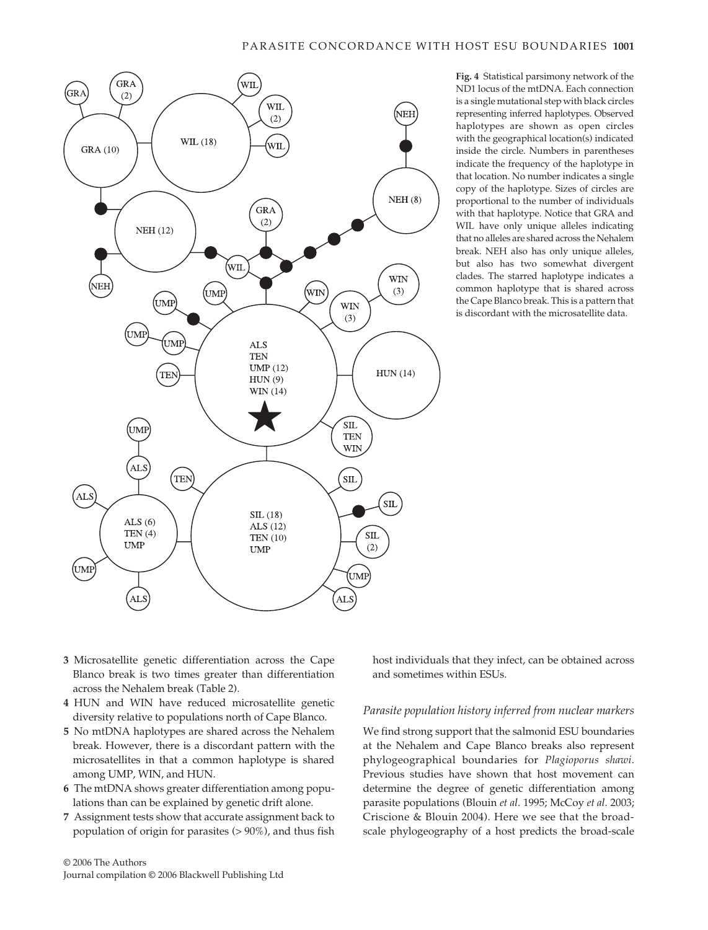

**Fig. 4** Statistical parsimony network of the ND1 locus of the mtDNA. Each connection is a single mutational step with black circles representing inferred haplotypes. Observed haplotypes are shown as open circles with the geographical location(s) indicated inside the circle. Numbers in parentheses indicate the frequency of the haplotype in that location. No number indicates a single copy of the haplotype. Sizes of circles are proportional to the number of individuals with that haplotype. Notice that GRA and WIL have only unique alleles indicating that no alleles are shared across the Nehalem break. NEH also has only unique alleles, but also has two somewhat divergent clades. The starred haplotype indicates a common haplotype that is shared across the Cape Blanco break. This is a pattern that is discordant with the microsatellite data.

- **3** Microsatellite genetic differentiation across the Cape Blanco break is two times greater than differentiation across the Nehalem break (Table 2).
- **4** HUN and WIN have reduced microsatellite genetic diversity relative to populations north of Cape Blanco.
- **5** No mtDNA haplotypes are shared across the Nehalem break. However, there is a discordant pattern with the microsatellites in that a common haplotype is shared among UMP, WIN, and HUN.
- **6** The mtDNA shows greater differentiation among populations than can be explained by genetic drift alone.
- **7** Assignment tests show that accurate assignment back to population of origin for parasites (> 90%), and thus fish

host individuals that they infect, can be obtained across and sometimes within ESUs.

# *Parasite population history inferred from nuclear markers*

We find strong support that the salmonid ESU boundaries at the Nehalem and Cape Blanco breaks also represent phylogeographical boundaries for *Plagioporus shawi*. Previous studies have shown that host movement can determine the degree of genetic differentiation among parasite populations (Blouin *et al*. 1995; McCoy *et al*. 2003; Criscione & Blouin 2004). Here we see that the broadscale phylogeography of a host predicts the broad-scale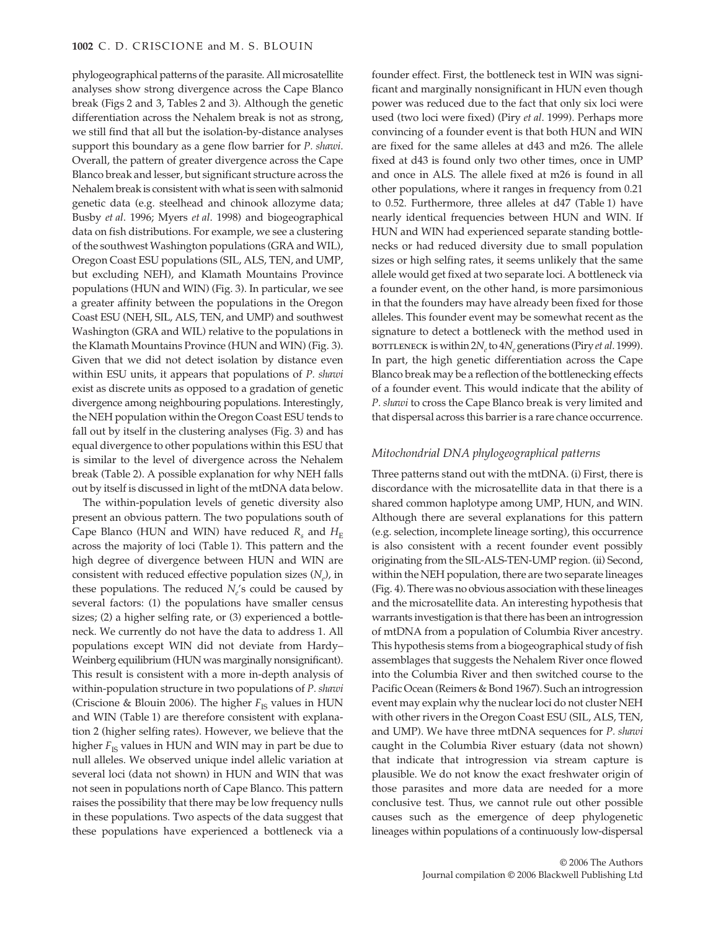phylogeographical patterns of the parasite. All microsatellite analyses show strong divergence across the Cape Blanco break (Figs 2 and 3, Tables 2 and 3). Although the genetic differentiation across the Nehalem break is not as strong, we still find that all but the isolation-by-distance analyses support this boundary as a gene flow barrier for *P. shawi*. Overall, the pattern of greater divergence across the Cape Blanco break and lesser, but significant structure across the Nehalem break is consistent with what is seen with salmonid genetic data (e.g. steelhead and chinook allozyme data; Busby *et al*. 1996; Myers *et al*. 1998) and biogeographical data on fish distributions. For example, we see a clustering of the southwest Washington populations (GRA and WIL), Oregon Coast ESU populations (SIL, ALS, TEN, and UMP, but excluding NEH), and Klamath Mountains Province populations (HUN and WIN) (Fig. 3). In particular, we see a greater affinity between the populations in the Oregon Coast ESU (NEH, SIL, ALS, TEN, and UMP) and southwest Washington (GRA and WIL) relative to the populations in the Klamath Mountains Province (HUN and WIN) (Fig. 3). Given that we did not detect isolation by distance even within ESU units, it appears that populations of *P. shawi* exist as discrete units as opposed to a gradation of genetic divergence among neighbouring populations. Interestingly, the NEH population within the Oregon Coast ESU tends to fall out by itself in the clustering analyses (Fig. 3) and has equal divergence to other populations within this ESU that is similar to the level of divergence across the Nehalem break (Table 2). A possible explanation for why NEH falls out by itself is discussed in light of the mtDNA data below.

The within-population levels of genetic diversity also present an obvious pattern. The two populations south of Cape Blanco (HUN and WIN) have reduced  $R_s$  and  $H_E$ across the majority of loci (Table 1). This pattern and the high degree of divergence between HUN and WIN are consistent with reduced effective population sizes (*N<sub>e</sub>*), in these populations. The reduced  $N_e$ 's could be caused by several factors: (1) the populations have smaller census sizes; (2) a higher selfing rate, or (3) experienced a bottleneck. We currently do not have the data to address 1. All populations except WIN did not deviate from Hardy– Weinberg equilibrium (HUN was marginally nonsignificant). This result is consistent with a more in-depth analysis of within-population structure in two populations of *P. shawi* (Criscione & Blouin 2006). The higher  $F_{\text{IS}}$  values in HUN and WIN (Table 1) are therefore consistent with explanation 2 (higher selfing rates). However, we believe that the higher  $F_{\text{IS}}$  values in HUN and WIN may in part be due to null alleles. We observed unique indel allelic variation at several loci (data not shown) in HUN and WIN that was not seen in populations north of Cape Blanco. This pattern raises the possibility that there may be low frequency nulls in these populations. Two aspects of the data suggest that these populations have experienced a bottleneck via a

founder effect. First, the bottleneck test in WIN was significant and marginally nonsignificant in HUN even though power was reduced due to the fact that only six loci were used (two loci were fixed) (Piry *et al*. 1999). Perhaps more convincing of a founder event is that both HUN and WIN are fixed for the same alleles at d43 and m26. The allele fixed at d43 is found only two other times, once in UMP and once in ALS. The allele fixed at m26 is found in all other populations, where it ranges in frequency from 0.21 to 0.52. Furthermore, three alleles at d47 (Table 1) have nearly identical frequencies between HUN and WIN. If HUN and WIN had experienced separate standing bottlenecks or had reduced diversity due to small population sizes or high selfing rates, it seems unlikely that the same allele would get fixed at two separate loci. A bottleneck via a founder event, on the other hand, is more parsimonious in that the founders may have already been fixed for those alleles. This founder event may be somewhat recent as the signature to detect a bottleneck with the method used in bottLeneck is within  $2N_e$  to  $4N_e$  generations (Piry *et al.* 1999). In part, the high genetic differentiation across the Cape Blanco break may be a reflection of the bottlenecking effects of a founder event. This would indicate that the ability of *P. shawi* to cross the Cape Blanco break is very limited and that dispersal across this barrier is a rare chance occurrence.

## *Mitochondrial DNA phylogeographical patterns*

Three patterns stand out with the mtDNA. (i) First, there is discordance with the microsatellite data in that there is a shared common haplotype among UMP, HUN, and WIN. Although there are several explanations for this pattern (e.g. selection, incomplete lineage sorting), this occurrence is also consistent with a recent founder event possibly originating from the SIL-ALS-TEN-UMP region. (ii) Second, within the NEH population, there are two separate lineages (Fig. 4). There was no obvious association with these lineages and the microsatellite data. An interesting hypothesis that warrants investigation is that there has been an introgression of mtDNA from a population of Columbia River ancestry. This hypothesis stems from a biogeographical study of fish assemblages that suggests the Nehalem River once flowed into the Columbia River and then switched course to the Pacific Ocean (Reimers & Bond 1967). Such an introgression event may explain why the nuclear loci do not cluster NEH with other rivers in the Oregon Coast ESU (SIL, ALS, TEN, and UMP). We have three mtDNA sequences for *P. shawi* caught in the Columbia River estuary (data not shown) that indicate that introgression via stream capture is plausible. We do not know the exact freshwater origin of those parasites and more data are needed for a more conclusive test. Thus, we cannot rule out other possible causes such as the emergence of deep phylogenetic lineages within populations of a continuously low-dispersal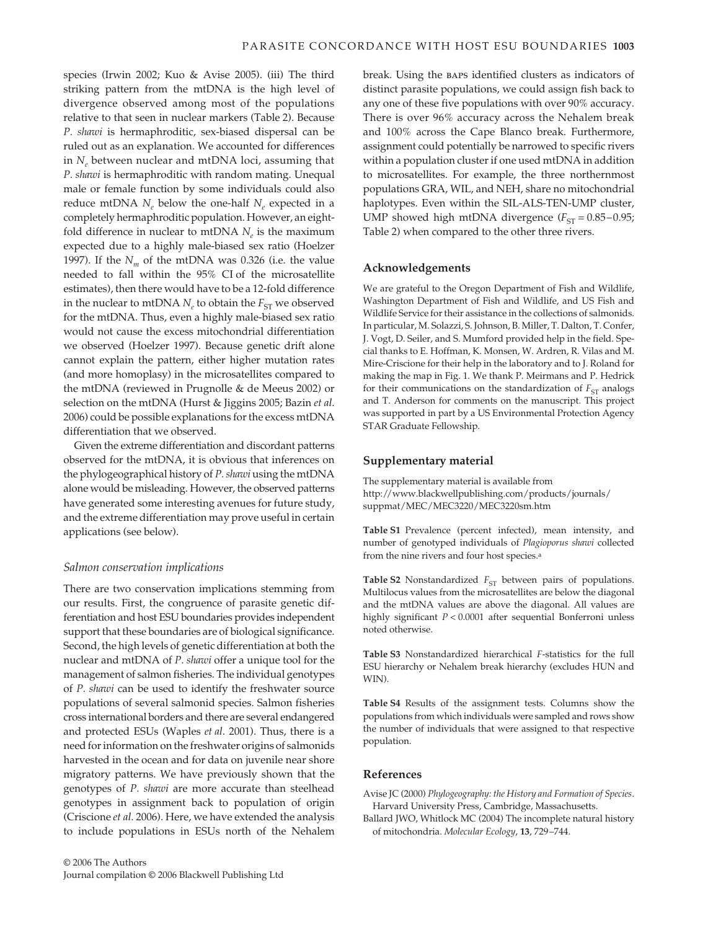species (Irwin 2002; Kuo & Avise 2005). (iii) The third striking pattern from the mtDNA is the high level of divergence observed among most of the populations relative to that seen in nuclear markers (Table 2). Because *P. shawi* is hermaphroditic, sex-biased dispersal can be ruled out as an explanation. We accounted for differences in *N<sub>e</sub>* between nuclear and mtDNA loci, assuming that *P. shawi* is hermaphroditic with random mating. Unequal male or female function by some individuals could also reduce mtDNA  $N_e$  below the one-half  $N_e$  expected in a completely hermaphroditic population. However, an eightfold difference in nuclear to mtDNA  $N_e$  is the maximum expected due to a highly male-biased sex ratio (Hoelzer 1997). If the  $N_m$  of the mtDNA was 0.326 (i.e. the value needed to fall within the 95% CI of the microsatellite estimates), then there would have to be a 12-fold difference in the nuclear to mtDNA  $N_e$  to obtain the  $F_{\rm ST}$  we observed for the mtDNA. Thus, even a highly male-biased sex ratio would not cause the excess mitochondrial differentiation we observed (Hoelzer 1997). Because genetic drift alone cannot explain the pattern, either higher mutation rates (and more homoplasy) in the microsatellites compared to the mtDNA (reviewed in Prugnolle & de Meeus 2002) or selection on the mtDNA (Hurst & Jiggins 2005; Bazin *et al*. 2006) could be possible explanations for the excess mtDNA differentiation that we observed.

Given the extreme differentiation and discordant patterns observed for the mtDNA, it is obvious that inferences on the phylogeographical history of *P. shawi* using the mtDNA alone would be misleading. However, the observed patterns have generated some interesting avenues for future study, and the extreme differentiation may prove useful in certain applications (see below).

# *Salmon conservation implications*

There are two conservation implications stemming from our results. First, the congruence of parasite genetic differentiation and host ESU boundaries provides independent support that these boundaries are of biological significance. Second, the high levels of genetic differentiation at both the nuclear and mtDNA of *P. shawi* offer a unique tool for the management of salmon fisheries. The individual genotypes of *P. shawi* can be used to identify the freshwater source populations of several salmonid species. Salmon fisheries cross international borders and there are several endangered and protected ESUs (Waples *et al*. 2001). Thus, there is a need for information on the freshwater origins of salmonids harvested in the ocean and for data on juvenile near shore migratory patterns. We have previously shown that the genotypes of *P. shawi* are more accurate than steelhead genotypes in assignment back to population of origin (Criscione *et al*. 2006). Here, we have extended the analysis to include populations in ESUs north of the Nehalem

break. Using the baps identified clusters as indicators of distinct parasite populations, we could assign fish back to any one of these five populations with over 90% accuracy. There is over 96% accuracy across the Nehalem break and 100% across the Cape Blanco break. Furthermore, assignment could potentially be narrowed to specific rivers within a population cluster if one used mtDNA in addition to microsatellites. For example, the three northernmost populations GRA, WIL, and NEH, share no mitochondrial haplotypes. Even within the SIL-ALS-TEN-UMP cluster, UMP showed high mtDNA divergence  $(F_{ST} = 0.85 - 0.95)$ ; Table 2) when compared to the other three rivers.

# **Acknowledgements**

We are grateful to the Oregon Department of Fish and Wildlife, Washington Department of Fish and Wildlife, and US Fish and Wildlife Service for their assistance in the collections of salmonids. In particular, M. Solazzi, S. Johnson, B. Miller, T. Dalton, T. Confer, J. Vogt, D. Seiler, and S. Mumford provided help in the field. Special thanks to E. Hoffman, K. Monsen, W. Ardren, R. Vilas and M. Mire-Criscione for their help in the laboratory and to J. Roland for making the map in Fig. 1. We thank P. Meirmans and P. Hedrick for their communications on the standardization of  $F_{ST}$  analogs and T. Anderson for comments on the manuscript. This project was supported in part by a US Environmental Protection Agency STAR Graduate Fellowship.

# **Supplementary material**

The supplementary material is available from http://www.blackwellpublishing.com/products/journals/ suppmat/MEC/MEC3220/MEC3220sm.htm

**Table S1** Prevalence (percent infected), mean intensity, and number of genotyped individuals of *Plagioporus shawi* collected from the nine rivers and four host species.<sup>a</sup>

Table S2 Nonstandardized *F*<sub>ST</sub> between pairs of populations. Multilocus values from the microsatellites are below the diagonal and the mtDNA values are above the diagonal. All values are highly significant *P* < 0.0001 after sequential Bonferroni unless noted otherwise.

**Table S3** Nonstandardized hierarchical *F*-statistics for the full ESU hierarchy or Nehalem break hierarchy (excludes HUN and WIN).

**Table S4** Results of the assignment tests. Columns show the populations from which individuals were sampled and rows show the number of individuals that were assigned to that respective population.

## **References**

Avise JC (2000) *Phylogeography: the History and Formation of Species*. Harvard University Press, Cambridge, Massachusetts.

Ballard JWO, Whitlock MC (2004) The incomplete natural history of mitochondria. *Molecular Ecology*, **13**, 729–744.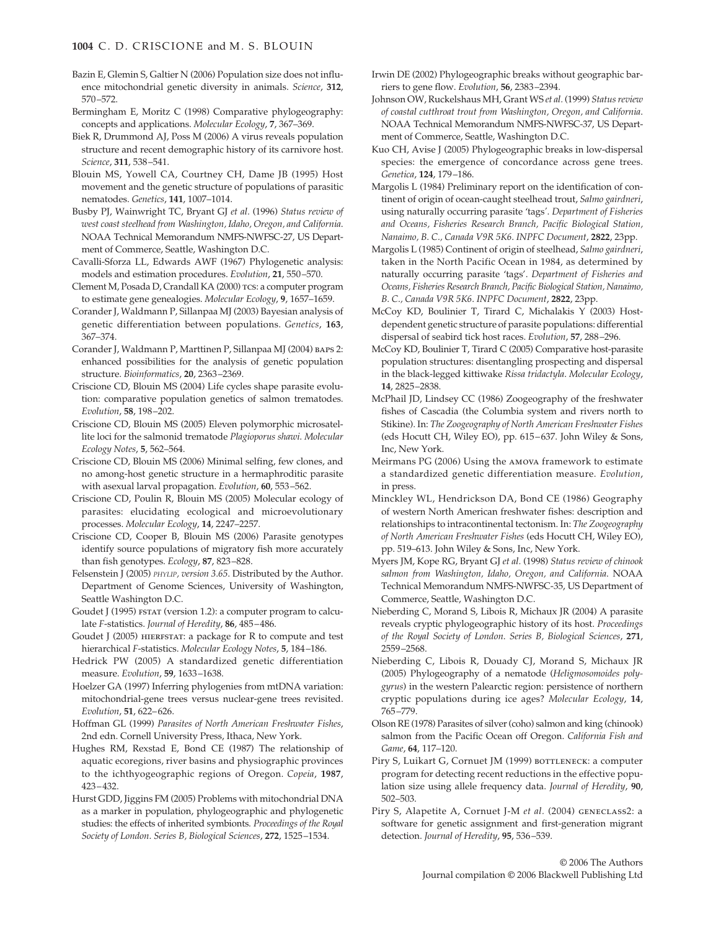- Bazin E, Glemin S, Galtier N (2006) Population size does not influence mitochondrial genetic diversity in animals. *Science*, **312**, 570–572.
- Bermingham E, Moritz C (1998) Comparative phylogeography: concepts and applications. *Molecular Ecology*, **7**, 367–369.
- Biek R, Drummond AJ, Poss M (2006) A virus reveals population structure and recent demographic history of its carnivore host. *Science*, **311**, 538–541.
- Blouin MS, Yowell CA, Courtney CH, Dame JB (1995) Host movement and the genetic structure of populations of parasitic nematodes. *Genetics*, **141**, 1007–1014.
- Busby PJ, Wainwright TC, Bryant GJ *et al.* (1996) *Status review of west coast steelhead from Washington, Idaho, Oregon, and California*. NOAA Technical Memorandum NMFS-NWFSC-27, US Department of Commerce, Seattle, Washington D.C.
- Cavalli-Sforza LL, Edwards AWF (1967) Phylogenetic analysis: models and estimation procedures. *Evolution*, **21**, 550–570.
- Clement M, Posada D, Crandall KA (2000) rcs: a computer program to estimate gene genealogies. *Molecular Ecology*, **9**, 1657–1659.
- Corander J, Waldmann P, Sillanpaa MJ (2003) Bayesian analysis of genetic differentiation between populations. *Genetics*, **163**, 367–374.
- Corander J, Waldmann P, Marttinen P, Sillanpaa MJ (2004) baps 2: enhanced possibilities for the analysis of genetic population structure. *Bioinformatics*, **20**, 2363–2369.
- Criscione CD, Blouin MS (2004) Life cycles shape parasite evolution: comparative population genetics of salmon trematodes. *Evolution*, **58**, 198–202.
- Criscione CD, Blouin MS (2005) Eleven polymorphic microsatellite loci for the salmonid trematode *Plagioporus shawi*. *Molecular Ecology Notes*, **5**, 562–564.
- Criscione CD, Blouin MS (2006) Minimal selfing, few clones, and no among-host genetic structure in a hermaphroditic parasite with asexual larval propagation. *Evolution*, **60**, 553–562.
- Criscione CD, Poulin R, Blouin MS (2005) Molecular ecology of parasites: elucidating ecological and microevolutionary processes. *Molecular Ecology*, **14**, 2247–2257.
- Criscione CD, Cooper B, Blouin MS (2006) Parasite genotypes identify source populations of migratory fish more accurately than fish genotypes. *Ecology*, **87**, 823–828.
- Felsenstein J (2005) *PHYLIP, version 3*.*65*. Distributed by the Author. Department of Genome Sciences, University of Washington, Seattle Washington D.C.
- Goudet J (1995) FSTAT (version 1.2): a computer program to calculate *F*-statistics. *Journal of Heredity*, **86**, 485–486.
- Goudet J (2005) HIERFSTAT: a package for R to compute and test hierarchical *F*-statistics. *Molecular Ecology Notes*, **5**, 184–186.
- Hedrick PW (2005) A standardized genetic differentiation measure. *Evolution*, **59**, 1633–1638.
- Hoelzer GA (1997) Inferring phylogenies from mtDNA variation: mitochondrial-gene trees versus nuclear-gene trees revisited. *Evolution*, **51**, 622–626.
- Hoffman GL (1999) *Parasites of North American Freshwater Fishes*, 2nd edn. Cornell University Press, Ithaca, New York.
- Hughes RM, Rexstad E, Bond CE (1987) The relationship of aquatic ecoregions, river basins and physiographic provinces to the ichthyogeographic regions of Oregon. *Copeia*, **1987**, 423–432.
- Hurst GDD, Jiggins FM (2005) Problems with mitochondrial DNA as a marker in population, phylogeographic and phylogenetic studies: the effects of inherited symbionts. *Proceedings of the Royal Society of London*. *Series B, Biological Sciences*, **272**, 1525–1534.
- Irwin DE (2002) Phylogeographic breaks without geographic barriers to gene flow. *Evolution*, **56**, 2383–2394.
- Johnson OW, Ruckelshaus MH, Grant WS *et al.* (1999) *Status review of coastal cutthroat trout from Washington, Oregon, and California*. NOAA Technical Memorandum NMFS-NWFSC-37, US Department of Commerce, Seattle, Washington D.C.
- Kuo CH, Avise J (2005) Phylogeographic breaks in low-dispersal species: the emergence of concordance across gene trees. *Genetica*, **124**, 179–186.
- Margolis L (1984) Preliminary report on the identification of continent of origin of ocean-caught steelhead trout, *Salmo gairdneri*, using naturally occurring parasite 'tags*'*. *Department of Fisheries and Oceans, Fisheries Research Branch, Pacific Biological Station, Nanaimo, B*. *C*.*, Canada V9R 5K6*. *INPFC Document*, **2822**, 23pp.
- Margolis L (1985) Continent of origin of steelhead, *Salmo gairdneri*, taken in the North Pacific Ocean in 1984, as determined by naturally occurring parasite 'tags'. *Department of Fisheries and Oceans, Fisheries Research Branch, Pacific Biological Station, Nanaimo, B*. *C*.*, Canada V9R 5K6*. *INPFC Document*, **2822**, 23pp.
- McCoy KD, Boulinier T, Tirard C, Michalakis Y (2003) Hostdependent genetic structure of parasite populations: differential dispersal of seabird tick host races. *Evolution*, **57**, 288–296.
- McCoy KD, Boulinier T, Tirard C (2005) Comparative host-parasite population structures: disentangling prospecting and dispersal in the black-legged kittiwake *Rissa tridactyla*. *Molecular Ecology*, **14**, 2825–2838.
- McPhail JD, Lindsey CC (1986) Zoogeography of the freshwater fishes of Cascadia (the Columbia system and rivers north to Stikine). In: *The Zoogeography of North American Freshwater Fishes* (eds Hocutt CH, Wiley EO), pp. 615–637. John Wiley & Sons, Inc, New York.
- Meirmans PG (2006) Using the amova framework to estimate a standardized genetic differentiation measure. *Evolution*, in press.
- Minckley WL, Hendrickson DA, Bond CE (1986) Geography of western North American freshwater fishes: description and relationships to intracontinental tectonism. In: *The Zoogeography of North American Freshwater Fishes* (eds Hocutt CH, Wiley EO), pp. 519–613. John Wiley & Sons, Inc, New York.
- Myers JM, Kope RG, Bryant GJ *et al.* (1998) *Status review of chinook salmon from Washington, Idaho, Oregon, and California*. NOAA Technical Memorandum NMFS-NWFSC-35, US Department of Commerce, Seattle, Washington D.C.
- Nieberding C, Morand S, Libois R, Michaux JR (2004) A parasite reveals cryptic phylogeographic history of its host. *Proceedings of the Royal Society of London*. *Series B, Biological Sciences*, **271**, 2559–2568.
- Nieberding C, Libois R, Douady CJ, Morand S, Michaux JR (2005) Phylogeography of a nematode (*Heligmosomoides polygyrus*) in the western Palearctic region: persistence of northern cryptic populations during ice ages? *Molecular Ecology*, **14**, 765–779.
- Olson RE (1978) Parasites of silver (coho) salmon and king (chinook) salmon from the Pacific Ocean off Oregon. *California Fish and Game*, **64**, 117–120.
- Piry S, Luikart G, Cornuet JM (1999) BOTTLENECK: a computer program for detecting recent reductions in the effective population size using allele frequency data. *Journal of Heredity*, **90**, 502–503.
- Piry S, Alapetite A, Cornuet J-M et al. (2004) GENECLASS2: a software for genetic assignment and first-generation migrant detection. *Journal of Heredity*, **95**, 536–539.